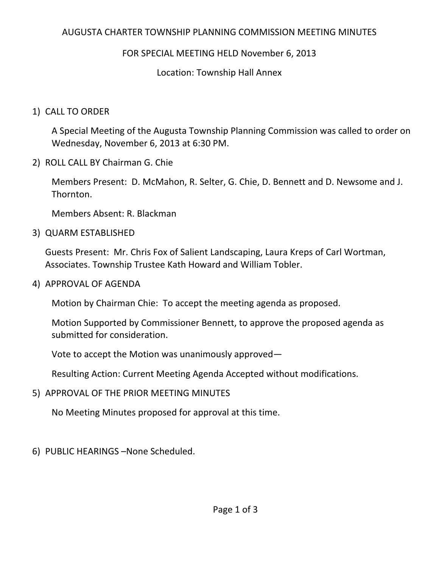# AUGUSTA CHARTER TOWNSHIP PLANNING COMMISSION MEETING MINUTES

# FOR SPECIAL MEETING HELD November 6, 2013

### Location: Township Hall Annex

### 1) CALL TO ORDER

A Special Meeting of the Augusta Township Planning Commission was called to order on Wednesday, November 6, 2013 at 6:30 PM.

2) ROLL CALL BY Chairman G. Chie

Members Present: D. McMahon, R. Selter, G. Chie, D. Bennett and D. Newsome and J. Thornton.

Members Absent: R. Blackman

3) QUARM ESTABLISHED

Guests Present: Mr. Chris Fox of Salient Landscaping, Laura Kreps of Carl Wortman, Associates. Township Trustee Kath Howard and William Tobler.

4) APPROVAL OF AGENDA

Motion by Chairman Chie: To accept the meeting agenda as proposed.

Motion Supported by Commissioner Bennett, to approve the proposed agenda as submitted for consideration.

Vote to accept the Motion was unanimously approved—

Resulting Action: Current Meeting Agenda Accepted without modifications.

5) APPROVAL OF THE PRIOR MEETING MINUTES

No Meeting Minutes proposed for approval at this time.

6) PUBLIC HEARINGS –None Scheduled.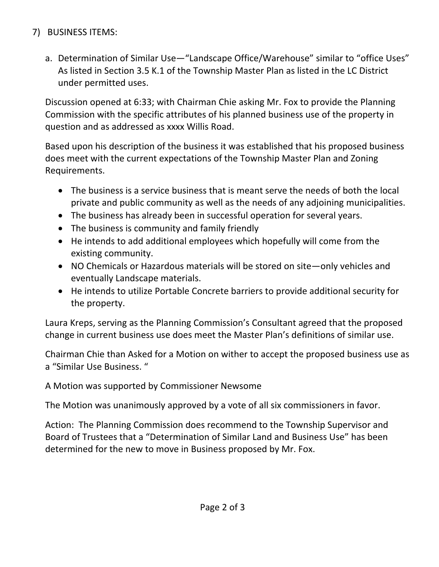# 7) BUSINESS ITEMS:

a. Determination of Similar Use—"Landscape Office/Warehouse" similar to "office Uses" As listed in Section 3.5 K.1 of the Township Master Plan as listed in the LC District under permitted uses.

Discussion opened at 6:33; with Chairman Chie asking Mr. Fox to provide the Planning Commission with the specific attributes of his planned business use of the property in question and as addressed as xxxx Willis Road.

Based upon his description of the business it was established that his proposed business does meet with the current expectations of the Township Master Plan and Zoning Requirements.

- The business is a service business that is meant serve the needs of both the local private and public community as well as the needs of any adjoining municipalities.
- The business has already been in successful operation for several years.
- The business is community and family friendly
- He intends to add additional employees which hopefully will come from the existing community.
- NO Chemicals or Hazardous materials will be stored on site—only vehicles and eventually Landscape materials.
- He intends to utilize Portable Concrete barriers to provide additional security for the property.

Laura Kreps, serving as the Planning Commission's Consultant agreed that the proposed change in current business use does meet the Master Plan's definitions of similar use.

Chairman Chie than Asked for a Motion on wither to accept the proposed business use as a "Similar Use Business. "

A Motion was supported by Commissioner Newsome

The Motion was unanimously approved by a vote of all six commissioners in favor.

Action: The Planning Commission does recommend to the Township Supervisor and Board of Trustees that a "Determination of Similar Land and Business Use" has been determined for the new to move in Business proposed by Mr. Fox.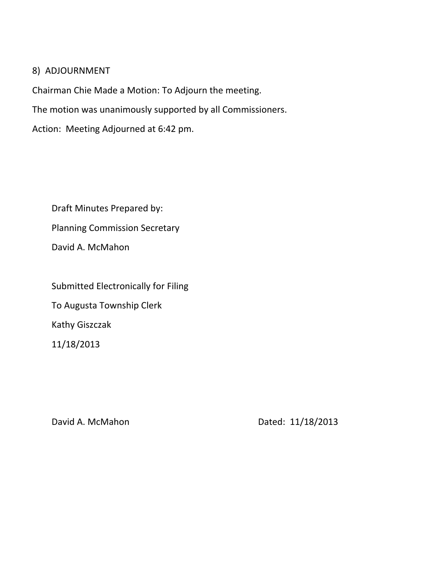#### 8) ADJOURNMENT

Chairman Chie Made a Motion: To Adjourn the meeting.

The motion was unanimously supported by all Commissioners.

Action: Meeting Adjourned at 6:42 pm.

Draft Minutes Prepared by: Planning Commission Secretary David A. McMahon

Submitted Electronically for Filing To Augusta Township Clerk Kathy Giszczak 11/18/2013

David A. McMahon Dated: 11/18/2013